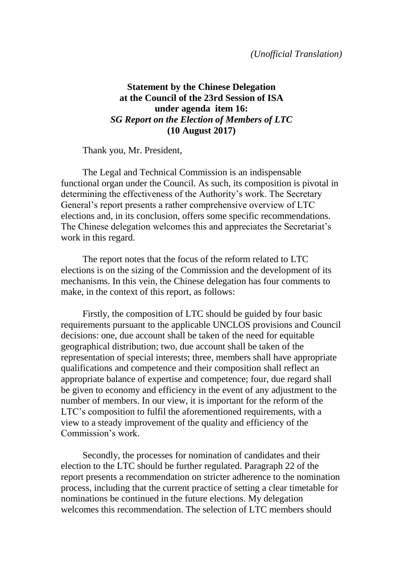## **Statement by the Chinese Delegation at the Council of the 23rd Session of ISA under agenda item 16:** *SG Report on the Election of Members of LTC* **(10 August 2017)**

Thank you, Mr. President,

The Legal and Technical Commission is an indispensable functional organ under the Council. As such, its composition is pivotal in determining the effectiveness of the Authority's work. The Secretary General's report presents a rather comprehensive overview of LTC elections and, in its conclusion, offers some specific recommendations. The Chinese delegation welcomes this and appreciates the Secretariat's work in this regard.

The report notes that the focus of the reform related to LTC elections is on the sizing of the Commission and the development of its mechanisms. In this vein, the Chinese delegation has four comments to make, in the context of this report, as follows:

Firstly, the composition of LTC should be guided by four basic requirements pursuant to the applicable UNCLOS provisions and Council decisions: one, due account shall be taken of the need for equitable geographical distribution; two, due account shall be taken of the representation of special interests; three, members shall have appropriate qualifications and competence and their composition shall reflect an appropriate balance of expertise and competence; four, due regard shall be given to economy and efficiency in the event of any adjustment to the number of members. In our view, it is important for the reform of the LTC's composition to fulfil the aforementioned requirements, with a view to a steady improvement of the quality and efficiency of the Commission's work.

Secondly, the processes for nomination of candidates and their election to the LTC should be further regulated. Paragraph 22 of the report presents a recommendation on stricter adherence to the nomination process, including that the current practice of setting a clear timetable for nominations be continued in the future elections. My delegation welcomes this recommendation. The selection of LTC members should